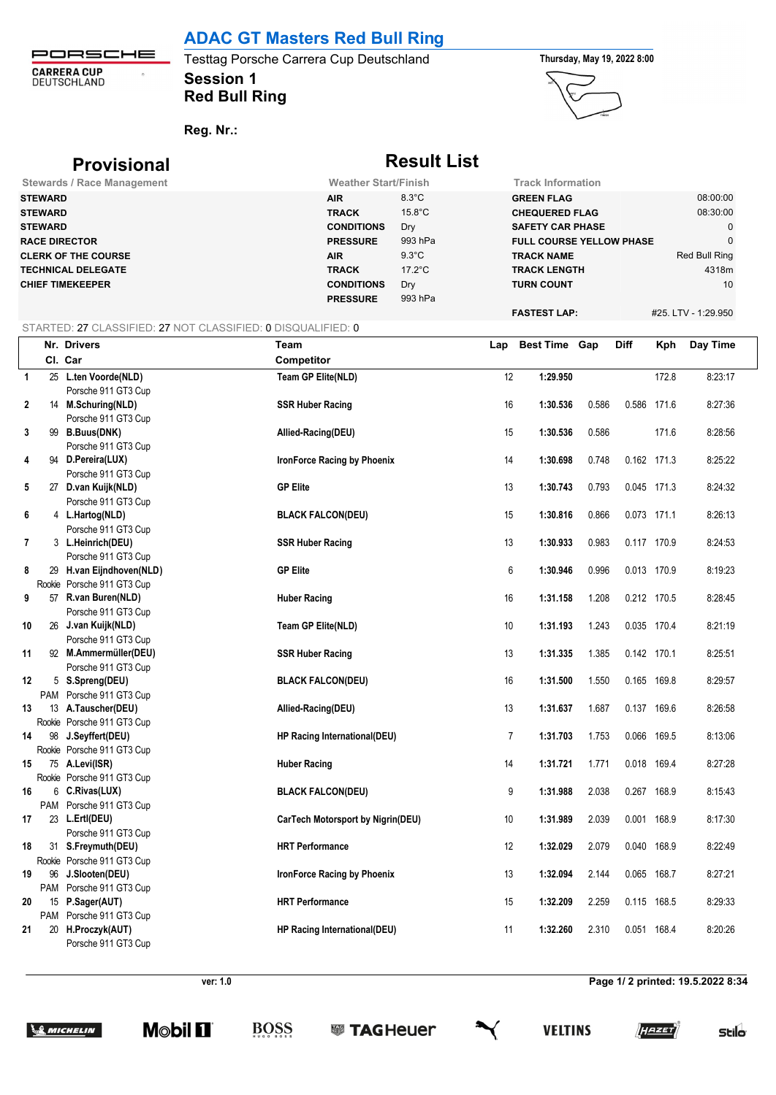### **ADAC GT Masters Red Bull Ring**

PORSCHE **CARRERA CUP**<br>DEUTSCHLAND  $\hat{\sigma}$ 

### **Session 1** Testtag Porsche Carrera Cup Deutschland **Thursday, May 19, 2022 8:00 Red Bull Ring**



**Reg. Nr.:** 

| <b>Provisional</b>                |                             | <b>Result List</b> |                                 |                     |
|-----------------------------------|-----------------------------|--------------------|---------------------------------|---------------------|
| <b>Stewards / Race Management</b> | <b>Weather Start/Finish</b> |                    | <b>Track Information</b>        |                     |
| <b>STEWARD</b>                    | <b>AIR</b>                  | $8.3^{\circ}$ C    | <b>GREEN FLAG</b>               | 08:00:00            |
| <b>STEWARD</b>                    | <b>TRACK</b>                | $15.8^{\circ}$ C   | <b>CHEQUERED FLAG</b>           | 08:30:00            |
| <b>STEWARD</b>                    | <b>CONDITIONS</b>           | Dry                | <b>SAFETY CAR PHASE</b>         | $\mathbf 0$         |
| <b>RACE DIRECTOR</b>              | <b>PRESSURE</b>             | 993 hPa            | <b>FULL COURSE YELLOW PHASE</b> | $\mathbf{0}$        |
| <b>CLERK OF THE COURSE</b>        | <b>AIR</b>                  | $9.3^{\circ}$ C    | <b>TRACK NAME</b>               | Red Bull Ring       |
| <b>TECHNICAL DELEGATE</b>         | <b>TRACK</b>                | $17.2^{\circ}$ C   | <b>TRACK LENGTH</b>             | 4318m               |
| <b>CHIEF TIMEKEEPER</b>           | <b>CONDITIONS</b>           | Dry                | <b>TURN COUNT</b>               | 10                  |
|                                   | <b>PRESSURE</b>             | 993 hPa            |                                 |                     |
|                                   |                             |                    | <b>FASTEST LAP:</b>             | #25. LTV - 1:29.950 |

#### STARTED: 27 CLASSIFIED: 27 NOT CLASSIFIED: 0 DISQUALIFIED: 0

|                |    | Nr. Drivers                                  | Team                               | Lap            | Best Time Gap |       | <b>Diff</b> | Kph         | Day Time |
|----------------|----|----------------------------------------------|------------------------------------|----------------|---------------|-------|-------------|-------------|----------|
|                |    | Cl. Car                                      | <b>Competitor</b>                  |                |               |       |             |             |          |
| $\overline{1}$ |    | 25 L.ten Voorde(NLD)                         | Team GP Elite(NLD)                 | 12             | 1:29.950      |       |             | 172.8       | 8:23:17  |
|                |    | Porsche 911 GT3 Cup                          |                                    |                |               |       |             |             |          |
| 2              |    | 14 M.Schuring(NLD)                           | <b>SSR Huber Racing</b>            | 16             | 1:30.536      | 0.586 |             | 0.586 171.6 | 8:27:36  |
|                |    | Porsche 911 GT3 Cup                          |                                    |                |               |       |             |             |          |
| 3              |    | 99 B.Buus(DNK)                               | Allied-Racing(DEU)                 | 15             | 1:30.536      | 0.586 |             | 171.6       | 8:28:56  |
|                |    | Porsche 911 GT3 Cup                          |                                    |                |               |       |             |             |          |
| 4              |    | 94 D.Pereira(LUX)                            | <b>IronForce Racing by Phoenix</b> | 14             | 1:30.698      | 0.748 | 0.162 171.3 |             | 8:25:22  |
|                |    | Porsche 911 GT3 Cup                          |                                    |                |               |       |             |             |          |
| 5              |    | 27 D.van Kuijk(NLD)                          | <b>GP Elite</b>                    | 13             | 1:30.743      | 0.793 | 0.045 171.3 |             | 8:24:32  |
|                |    | Porsche 911 GT3 Cup                          |                                    |                |               |       |             |             |          |
| 6              |    | 4 L.Hartog(NLD)                              | <b>BLACK FALCON(DEU)</b>           | 15             | 1:30.816      | 0.866 | 0.073 171.1 |             | 8:26:13  |
|                |    | Porsche 911 GT3 Cup                          |                                    |                |               |       |             |             |          |
| 7              |    | 3 L.Heinrich(DEU)                            | <b>SSR Huber Racing</b>            | 13             | 1:30.933      | 0.983 | 0.117 170.9 |             | 8:24:53  |
|                |    | Porsche 911 GT3 Cup                          |                                    |                |               |       |             |             |          |
| 8              |    | 29 H.van Eijndhoven(NLD)                     | <b>GP Elite</b>                    | 6              | 1:30.946      | 0.996 | 0.013 170.9 |             | 8:19:23  |
|                |    | Rookie Porsche 911 GT3 Cup                   |                                    |                |               |       |             |             |          |
| 9              |    | 57 R.van Buren(NLD)                          | <b>Huber Racing</b>                | 16             | 1:31.158      | 1.208 | 0.212 170.5 |             | 8:28:45  |
|                |    | Porsche 911 GT3 Cup                          |                                    |                |               |       |             |             |          |
| 10             |    | 26 J.van Kuijk(NLD)                          | Team GP Elite(NLD)                 | 10             | 1:31.193      | 1.243 |             | 0.035 170.4 | 8:21:19  |
|                |    | Porsche 911 GT3 Cup                          |                                    |                |               |       |             |             |          |
| 11             |    | 92 M.Ammermüller(DEU)                        | <b>SSR Huber Racing</b>            | 13             | 1:31.335      | 1.385 | 0.142 170.1 |             | 8:25:51  |
|                |    | Porsche 911 GT3 Cup                          |                                    |                |               |       |             |             |          |
| 12             |    | 5 S.Spreng(DEU)                              | <b>BLACK FALCON(DEU)</b>           | 16             | 1:31.500      | 1.550 | 0.165 169.8 |             | 8:29:57  |
|                |    | PAM Porsche 911 GT3 Cup                      |                                    |                |               |       |             |             |          |
| 13             |    | 13 A.Tauscher(DEU)                           | Allied-Racing(DEU)                 | 13             | 1:31.637      | 1.687 | 0.137 169.6 |             | 8:26:58  |
|                |    | Rookie Porsche 911 GT3 Cup                   |                                    |                |               |       |             |             |          |
| 14             |    | 98 J.Seyffert(DEU)                           | HP Racing International(DEU)       | $\overline{7}$ | 1:31.703      | 1.753 | 0.066 169.5 |             | 8:13:06  |
|                |    | Rookie Porsche 911 GT3 Cup                   |                                    |                |               |       |             |             |          |
| 15             |    | 75 A.Levi(ISR)                               | <b>Huber Racing</b>                | 14             | 1:31.721      | 1.771 | 0.018 169.4 |             | 8:27:28  |
|                |    | Rookie Porsche 911 GT3 Cup                   |                                    |                |               |       |             |             |          |
| 16             |    | 6 C.Rivas(LUX)                               | <b>BLACK FALCON(DEU)</b>           | 9              | 1:31.988      | 2.038 | 0.267 168.9 |             | 8:15:43  |
|                |    | PAM Porsche 911 GT3 Cup                      |                                    |                |               |       |             |             |          |
| 17             |    | 23 L.Ertl(DEU)                               | CarTech Motorsport by Nigrin(DEU)  | 10             | 1:31.989      | 2.039 | 0.001 168.9 |             | 8:17:30  |
|                |    | Porsche 911 GT3 Cup                          |                                    |                |               |       |             |             |          |
| 18             |    | 31 S.Freymuth(DEU)                           | <b>HRT Performance</b>             | 12             | 1:32.029      | 2.079 | 0.040 168.9 |             | 8:22:49  |
|                |    | Rookie Porsche 911 GT3 Cup                   |                                    |                |               |       |             |             |          |
| 19             | 96 | J.Slooten(DEU)                               | <b>IronForce Racing by Phoenix</b> | 13             | 1:32.094      | 2.144 | 0.065 168.7 |             | 8:27:21  |
|                |    | PAM Porsche 911 GT3 Cup                      |                                    |                |               |       |             |             |          |
| 20             |    | 15 P.Sager(AUT)                              | <b>HRT Performance</b>             | 15             | 1:32.209      | 2.259 | 0.115 168.5 |             | 8:29:33  |
| 21             |    | PAM Porsche 911 GT3 Cup<br>20 H.Proczyk(AUT) |                                    | 11             | 1:32.260      | 2.310 | 0.051 168.4 |             | 8:20:26  |
|                |    |                                              | HP Racing International(DEU)       |                |               |       |             |             |          |
|                |    | Porsche 911 GT3 Cup                          |                                    |                |               |       |             |             |          |

**BOSS** 

**ver: 1.0 Page 1/ 2 printed: 19.5.2022 8:34**







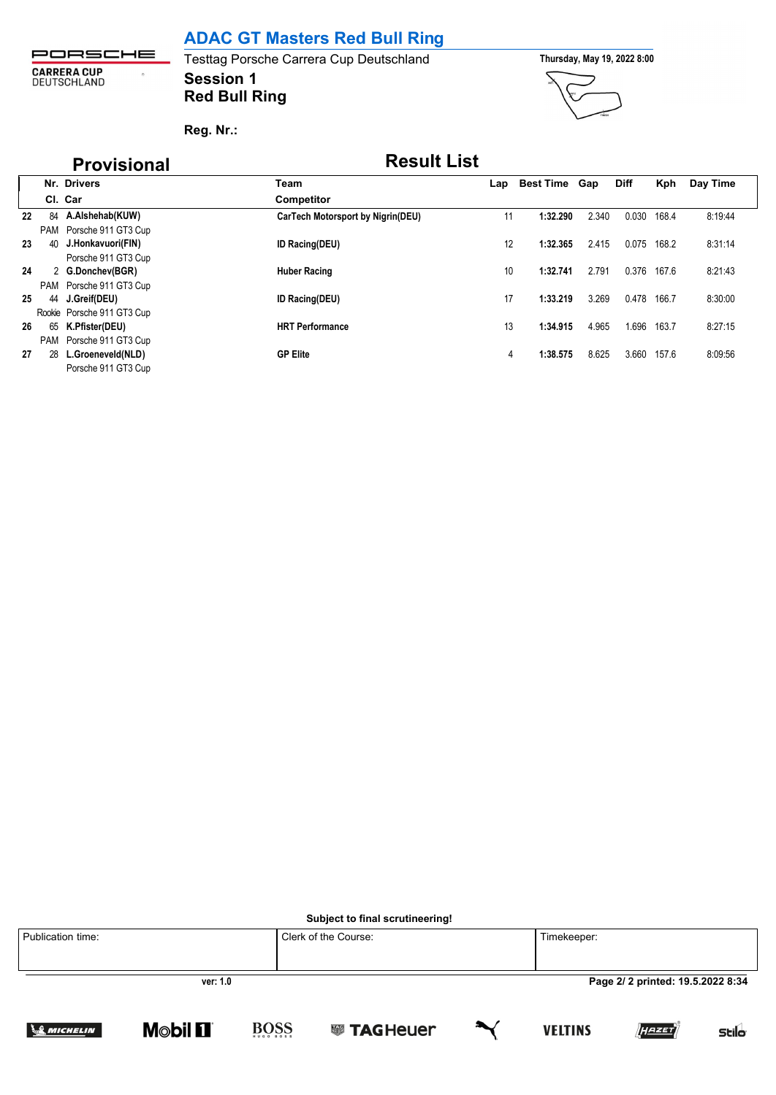## **ADAC GT Masters Red Bull Ring**

PORSCHE **CARRERA CUP**<br>DEUTSCHLAND  $\hat{\boldsymbol{\sigma}}$ 

### **Session 1** Testtag Porsche Carrera Cup Deutschland **Thursday, May 19, 2022 8:00 Red Bull Ring**



**Reg. Nr.:** 

## **Provisional Result List**

|    |    | Nr. Drivers                | Team                              | Lap | <b>Best Time</b> | Gap   | <b>Diff</b> | Kph   | Day Time |
|----|----|----------------------------|-----------------------------------|-----|------------------|-------|-------------|-------|----------|
|    |    | Cl. Car                    | <b>Competitor</b>                 |     |                  |       |             |       |          |
| 22 | 84 | A.Alshehab(KUW)            | CarTech Motorsport by Nigrin(DEU) | 11  | 1:32.290         | 2.340 | 0.030       | 168.4 | 8:19:44  |
|    |    | PAM Porsche 911 GT3 Cup    |                                   |     |                  |       |             |       |          |
| 23 | 40 | J.Honkavuori(FIN)          | <b>ID Racing(DEU)</b>             | 12  | 1:32.365         | 2.415 | 0.075       | 168.2 | 8:31:14  |
|    |    | Porsche 911 GT3 Cup        |                                   |     |                  |       |             |       |          |
| 24 |    | 2 G.Donchev(BGR)           | <b>Huber Racing</b>               | 10  | 1:32.741         | 2.791 | 0.376       | 167.6 | 8:21:43  |
|    |    | PAM Porsche 911 GT3 Cup    |                                   |     |                  |       |             |       |          |
| 25 |    | 44 J.Greif(DEU)            | <b>ID Racing(DEU)</b>             | 17  | 1:33.219         | 3.269 | 0.478       | 166.7 | 8:30:00  |
|    |    | Rookie Porsche 911 GT3 Cup |                                   |     |                  |       |             |       |          |
| 26 | 65 | K.Pfister(DEU)             | <b>HRT Performance</b>            | 13  | 1:34.915         | 4.965 | 1.696       | 163.7 | 8:27:15  |
|    |    | PAM Porsche 911 GT3 Cup    |                                   |     |                  |       |             |       |          |
| 27 | 28 | L.Groeneveld(NLD)          | <b>GP Elite</b>                   | 4   | 1:38.575         | 8.625 | 3.660       | 157.6 | 8:09:56  |
|    |    | Porsche 911 GT3 Cup        |                                   |     |                  |       |             |       |          |

**Subject to final scrutineering!**

| Publication time: |                               |             | Clerk of the Course: |        | Timekeeper:    |                                  |              |
|-------------------|-------------------------------|-------------|----------------------|--------|----------------|----------------------------------|--------------|
|                   | ver: 1.0                      |             |                      |        |                | Page 2/2 printed: 19.5.2022 8:34 |              |
| <b>SMICHELIN</b>  | <b>Mobil <math>\Pi</math></b> | <b>BOSS</b> | <b>SSI TAGHeuer</b>  | $\sim$ | <b>VELTINS</b> | [HAZET]                          | <b>Stilo</b> |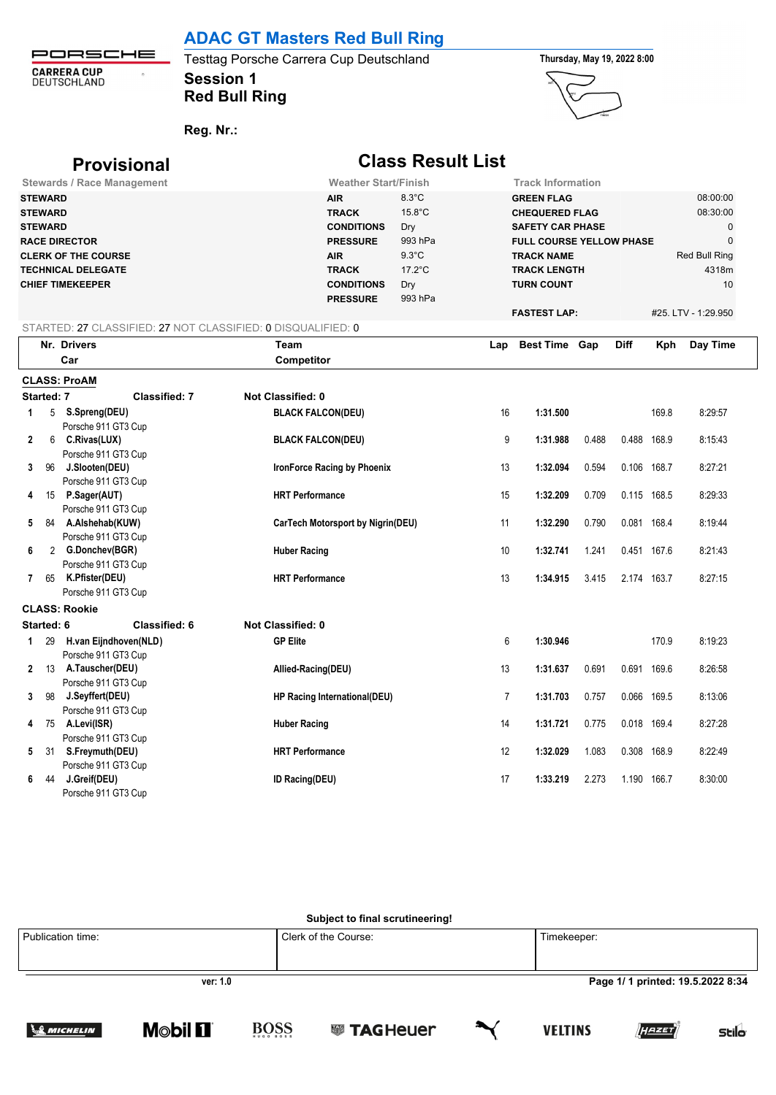### **ADAC GT Masters Red Bull Ring**

PORSCHE **CARRERA CUP**<br>DEUTSCHLAND  $\bar{\Omega}$ 

**Session 1 Red Bull Ring**





**Reg. Nr.:** 

|              |                                                    | <b>Provisional</b>                                           |                          |                                                                    | <b>Class Result List</b>                              |     |                                                                                                          |       |             |       |                                                 |
|--------------|----------------------------------------------------|--------------------------------------------------------------|--------------------------|--------------------------------------------------------------------|-------------------------------------------------------|-----|----------------------------------------------------------------------------------------------------------|-------|-------------|-------|-------------------------------------------------|
|              |                                                    | <b>Stewards / Race Management</b>                            |                          | <b>Weather Start/Finish</b>                                        |                                                       |     | <b>Track Information</b>                                                                                 |       |             |       |                                                 |
|              | <b>STEWARD</b><br><b>STEWARD</b><br><b>STEWARD</b> | <b>RACE DIRECTOR</b>                                         |                          | <b>AIR</b><br><b>TRACK</b><br><b>CONDITIONS</b><br><b>PRESSURE</b> | $8.3^{\circ}$ C<br>$15.8^{\circ}$ C<br>Dry<br>993 hPa |     | <b>GREEN FLAG</b><br><b>CHEQUERED FLAG</b><br><b>SAFETY CAR PHASE</b><br><b>FULL COURSE YELLOW PHASE</b> |       |             |       | 08:00:00<br>08:30:00<br>$\mathbf 0$<br>$\Omega$ |
|              |                                                    | <b>CLERK OF THE COURSE</b>                                   |                          | <b>AIR</b>                                                         | $9.3^{\circ}$ C                                       |     | <b>TRACK NAME</b>                                                                                        |       |             |       | Red Bull Ring                                   |
|              |                                                    | <b>TECHNICAL DELEGATE</b>                                    |                          | <b>TRACK</b>                                                       | $17.2^{\circ}$ C                                      |     | <b>TRACK LENGTH</b>                                                                                      |       |             |       | 4318m                                           |
|              |                                                    | <b>CHIEF TIMEKEEPER</b>                                      |                          | <b>CONDITIONS</b><br><b>PRESSURE</b>                               | Dry<br>993 hPa                                        |     | <b>TURN COUNT</b>                                                                                        |       |             |       | 10                                              |
|              |                                                    |                                                              |                          |                                                                    |                                                       |     | <b>FASTEST LAP:</b>                                                                                      |       |             |       | #25. LTV - 1:29.950                             |
|              |                                                    | STARTED: 27 CLASSIFIED: 27 NOT CLASSIFIED: 0 DISQUALIFIED: 0 |                          |                                                                    |                                                       |     |                                                                                                          |       |             |       |                                                 |
|              |                                                    | Nr. Drivers                                                  | Team                     |                                                                    |                                                       | Lap | <b>Best Time Gap</b>                                                                                     |       | <b>Diff</b> | Kph   | Day Time                                        |
|              |                                                    | Car                                                          | <b>Competitor</b>        |                                                                    |                                                       |     |                                                                                                          |       |             |       |                                                 |
|              |                                                    | <b>CLASS: ProAM</b>                                          |                          |                                                                    |                                                       |     |                                                                                                          |       |             |       |                                                 |
|              | Started: 7                                         | Classified: 7                                                | Not Classified: 0        |                                                                    |                                                       |     |                                                                                                          |       |             |       |                                                 |
| 1            |                                                    | 5 S.Spreng(DEU)<br>Porsche 911 GT3 Cup                       | <b>BLACK FALCON(DEU)</b> |                                                                    |                                                       | 16  | 1:31.500                                                                                                 |       |             | 169.8 | 8:29:57                                         |
| 2            | 6                                                  | C.Rivas(LUX)<br>Porsche 911 GT3 Cup                          | <b>BLACK FALCON(DEU)</b> |                                                                    |                                                       | 9   | 1:31.988                                                                                                 | 0.488 | 0.488 168.9 |       | 8:15:43                                         |
| 3            | 96                                                 | J.Slooten(DEU)                                               |                          | <b>IronForce Racing by Phoenix</b>                                 |                                                       | 13  | 1:32.094                                                                                                 | 0.594 | 0.106 168.7 |       | 8:27:21                                         |
| 4            | 15                                                 | Porsche 911 GT3 Cup<br>P.Sager(AUT)                          | <b>HRT Performance</b>   |                                                                    |                                                       | 15  | 1:32.209                                                                                                 | 0.709 | 0.115 168.5 |       | 8:29:33                                         |
| 5            | 84                                                 | Porsche 911 GT3 Cup<br>A.Alshehab(KUW)                       |                          | CarTech Motorsport by Nigrin(DEU)                                  |                                                       | 11  | 1:32.290                                                                                                 | 0.790 | 0.081 168.4 |       | 8:19:44                                         |
| 6            |                                                    | Porsche 911 GT3 Cup<br>2 G.Donchev(BGR)                      | <b>Huber Racing</b>      |                                                                    |                                                       | 10  | 1:32.741                                                                                                 | 1.241 | 0.451 167.6 |       | 8:21:43                                         |
| 7            | 65                                                 | Porsche 911 GT3 Cup<br>K.Pfister(DEU)                        | <b>HRT Performance</b>   |                                                                    |                                                       | 13  | 1:34.915                                                                                                 | 3.415 | 2.174 163.7 |       | 8:27:15                                         |
|              |                                                    | Porsche 911 GT3 Cup                                          |                          |                                                                    |                                                       |     |                                                                                                          |       |             |       |                                                 |
|              |                                                    | <b>CLASS: Rookie</b>                                         |                          |                                                                    |                                                       |     |                                                                                                          |       |             |       |                                                 |
|              | Started: 6                                         | <b>Classified: 6</b>                                         | <b>Not Classified: 0</b> |                                                                    |                                                       |     |                                                                                                          |       |             |       |                                                 |
| 1            | 29                                                 | H.van Eijndhoven(NLD)<br>Porsche 911 GT3 Cup                 | <b>GP Elite</b>          |                                                                    |                                                       | 6   | 1:30.946                                                                                                 |       |             | 170.9 | 8:19:23                                         |
| $\mathbf{2}$ | 13                                                 | A.Tauscher(DEU)                                              | Allied-Racing(DEU)       |                                                                    |                                                       | 13  | 1:31.637                                                                                                 | 0.691 | 0.691 169.6 |       | 8:26:58                                         |

### **Subject to final scrutineering!**

**3** 98 **J.Seyffert(DEU) HP Racing International(DEU)** 7 **1:31.703** 0.757 0.066 169.5 8:13:06

**4** 75 **A.Levi(ISR) Huber Racing** 14 **1:31.721** 0.775 0.018 169.4 8:27:28

**5** 31 **S.Freymuth(DEU) HRT Performance** 12 **1:32.029** 1.083 0.308 168.9 8:22:49

**6** 44 **J.Greif(DEU) ID Racing(DEU)** 17 **1:33.219** 2.273 1.190 166.7 8:30:00

| Publication time: | Clerk of the Course: | Timekeeper:                       |
|-------------------|----------------------|-----------------------------------|
| ver: 1.0          |                      | Page 1/ 1 printed: 19.5.2022 8:34 |



Porsche 911 GT3 Cup

Porsche 911 GT3 Cup

Porsche 911 GT3 Cup

Porsche 911 GT3 Cup

Porsche 911 GT3 Cup







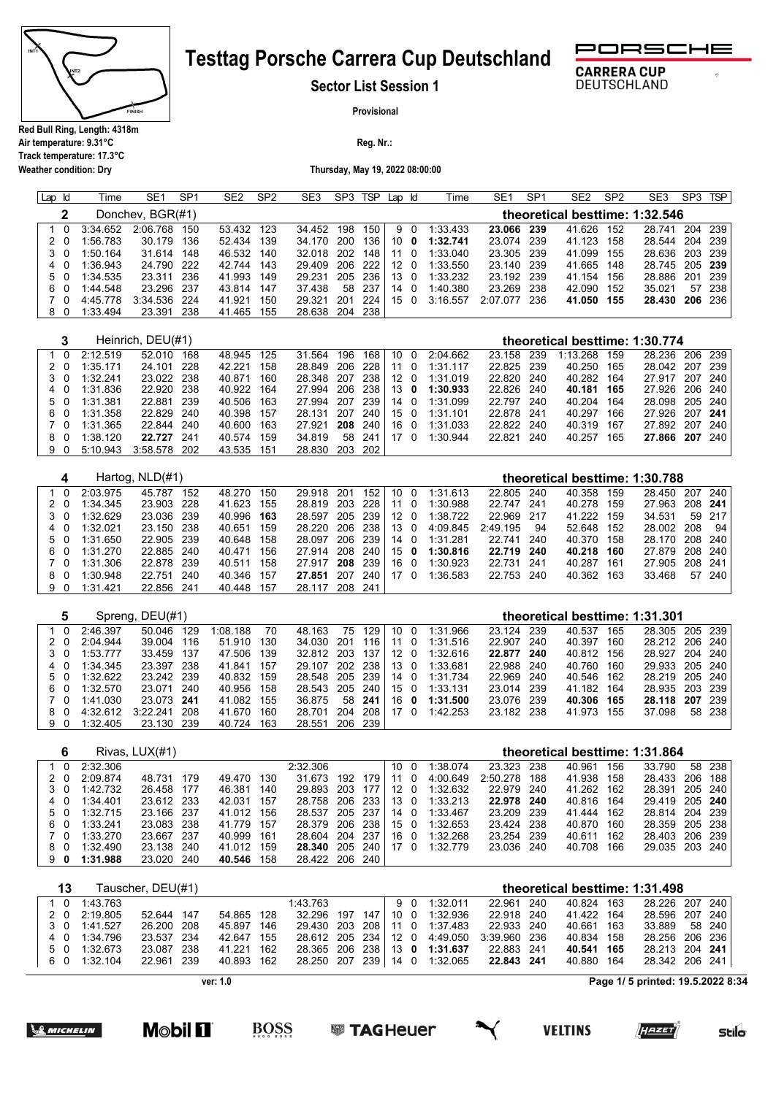

**Air temperature: 9.31°C Track temperature: 17.3°C**

**Weather condition: Dry**

# **Testtag Porsche Carrera Cup Deutschland**



DEUTSCHLAND

**Sector List Session 1**

**Provisional**

**Reg. Nr.:** 

**Thursday, May 19, 2022 08:00:00**

| Lap Id | Time     | SE <sub>1</sub>  | SP <sub>1</sub> | SE <sub>2</sub> | SP <sub>2</sub> | SE <sub>3</sub> | SP3 | <b>TSP</b> | Lap Id       |    | Time     | SE <sub>1</sub> | SP <sub>1</sub> | SE <sub>2</sub>                | SP <sub>2</sub> | SE3            | SP <sub>3</sub> | <b>TSP</b> |
|--------|----------|------------------|-----------------|-----------------|-----------------|-----------------|-----|------------|--------------|----|----------|-----------------|-----------------|--------------------------------|-----------------|----------------|-----------------|------------|
|        |          | Donchev, BGR(#1) |                 |                 |                 |                 |     |            |              |    |          |                 |                 | theoretical besttime: 1:32.546 |                 |                |                 |            |
|        | 3:34.652 | 2:06.768         | 150             | 53.432          | 123             | 34.452          | 198 | 150        |              | 90 | 1:33.433 | 23.066          | 239             | 41.626                         | 152             | 28.741         |                 | 204 239    |
| 20     | 1:56.783 | 30.179           | 136             | 52.434          | 139             | 34.170          | 200 | 136        | 10 O         |    | 1:32.741 | 23.074          | 239             | 41.123                         | 158             | 28.544         |                 | 204 239    |
| 30     | 1:50.164 | 31.614           | 148             | 46.532          | 140             | 32.018          | 202 | 148        | 11 O         |    | 1:33.040 | 23.305 239      |                 | 41.099                         | 155             | 28.636         |                 | 203 239    |
| 40     | 1:36.943 | 24.790           | - 222           | 42.744 143      |                 | 29.409          |     | 206 222    | 12 0         |    | 1:33.550 | 23.140          | -239            | 41.665 148                     |                 | 28.745 205 239 |                 |            |
| 50     | 1:34.535 | 23.311           | 236             | 41.993 149      |                 | 29.231          | 205 | 236        | $13 \quad 0$ |    | 1:33.232 | 23.192          | 239             | 41.154                         | 156             | 28.886         | 201             | 239        |
| 60     | 1:44.548 | 23.296           | -237            | 43.814 147      |                 | 37.438          | 58  | -237       | $14 \quad 0$ |    | 1:40.380 | 23.269          | 238             | 42.090                         | 152             | 35.021         | 57              | - 238      |
| 70     | 4:45.778 | 3:34.536 224     |                 | 41.921          | 150             | 29.321          | 201 | -224       | 150          |    | 3:16.557 | 2:07.077        | 236             | 41.050                         | 155             | 28.430         |                 | 206 236    |
| 80     | 1:33.494 | 23.391           | 238             | 41.465          | 155             | 28.638          | 204 | 238        |              |    |          |                 |                 |                                |                 |                |                 |            |

|    |     |              | Heinrich, DEU(#1) |     |            |     |                     |    |            |  |                              |            |     | theoretical besttime: 1:30.774 |                |  |
|----|-----|--------------|-------------------|-----|------------|-----|---------------------|----|------------|--|------------------------------|------------|-----|--------------------------------|----------------|--|
|    |     | 1 0 2:12.519 | 52.010            | 168 | 48.945 125 |     | 31.564 196          |    | 168 10 0   |  | 2:04.662                     | 23.158     | 239 | 1:13.268 159                   | 28.236 206 239 |  |
|    | 2 0 | 1:35.171     | 24.101 228        |     | 42.221     | 158 | 28.849 206 228 11 0 |    |            |  | 1:31.117                     | 22.825 239 |     | 40.250 165                     | 28.042 207 239 |  |
|    | 3 O | 1:32.241     | 23.022 238        |     | 40.871     | 160 |                     |    |            |  | 28.348 207 238 12 0 1:31.019 | 22.820 240 |     | 40.282 164                     | 27.917 207 240 |  |
|    | 40  | 1:31.836     | 22.920 238        |     | 40.922 164 |     |                     |    |            |  | 27.994 206 238 13 0 1:30.933 | 22.826 240 |     | 40.181 165                     | 27.926 206 240 |  |
|    | 50  | 1:31.381     | 22.881 239        |     | 40.506 163 |     | 27.994 207 239 14 0 |    |            |  | 1:31.099                     | 22.797     | 240 | 40.204 164                     | 28.098 205 240 |  |
|    | 60  | 1:31.358     | 22.829 240        |     | 40.398 157 |     | 28.131 207 240 15 0 |    |            |  | 1:31.101                     | 22.878 241 |     | 40.297 166                     | 27.926 207 241 |  |
| 70 |     | 1:31.365     | 22.844 240        |     | 40.600 163 |     | 27.921 208 240 16 0 |    |            |  | 1:31.033                     | 22.822 240 |     | 40.319 167                     | 27.892 207 240 |  |
|    | 8 O | 1:38.120     | 22.727 241        |     | 40.574 159 |     | 34.819              | 58 | 241   17 0 |  | 1:30.944                     | 22.821     | 240 | 40.257 165                     | 27.866 207 240 |  |
|    | 90  | 5:10.943     | 3:58.578 202      |     | 43.535 151 |     | 28.830 203 202      |    |            |  |                              |            |     |                                |                |  |

|     |          | Hartog, NLD(#1) |     |        |     |        |      |     |              |              |          |            |      | theoretical besttime: 1:30.788 |     |                |         |        |
|-----|----------|-----------------|-----|--------|-----|--------|------|-----|--------------|--------------|----------|------------|------|--------------------------------|-----|----------------|---------|--------|
|     | 2:03.975 | 45.787          | 152 | 48.270 | 150 | 29.918 | -201 | 152 | 10           | - 0          | 1:31.613 | 22.805     | 240  | 40.358                         | 159 | 28.450 207 240 |         |        |
| 2 0 | 1:34.345 | 23.903          | 228 | 41.623 | 155 | 28.819 | 203  | 228 | 11           | $\Omega$     | 1:30.988 | 22.747     | -241 | 40.278                         | 159 | 27.963         | 208 241 |        |
| 30  | 1:32.629 | 23.036 239      |     | 40.996 | 163 | 28.597 | 205  | 239 | 12           | - 0          | 1:38.722 | 22.969     | -217 | 41.222                         | 159 | 34.531         |         | 59 217 |
| 4 0 | 1:32.021 | 23.150 238      |     | 40.651 | 159 | 28.220 | 206  | 238 | $13 \quad 0$ |              | 4:09.845 | 2:49.195   | 94   | 52.648                         | 152 | 28.002 208     |         | 94     |
| 50  | 1:31.650 | 22.905 239      |     | 40.648 | 158 | 28.097 | 206  | 239 | 14           | - 0          | 1:31.281 | 22.741     | 240  | 40.370                         | 158 | 28.170 208 240 |         |        |
| 60  | 1:31.270 | 22.885          | 240 | 40.471 | 156 | 27.914 | 208  | 240 | 15           | $\mathbf{0}$ | 1:30.816 | 22.719 240 |      | 40.218                         | 160 | 27.879 208 240 |         |        |
| 70  | 1:31.306 | 22.878 239      |     | 40.511 | 158 | 27 917 | 208  | 239 | 16           | $\Omega$     | 1:30.923 | 22.731     | 241  | 40.287                         | 161 | 27.905         | 208 241 |        |
| 80  | 1:30.948 | 22.751          | 240 | 40.346 | 157 | 27.851 | 207  | 240 | 17           | $\Omega$     | 1:36.583 | 22.753     | -240 | 40.362                         | 163 | 33.468         | 57      | 240    |
| 90  | 1:31.421 | 22.856          | 241 | 40.448 | 157 | 28.117 | 208  | 241 |              |              |          |            |      |                                |     |                |         |        |

|     |     |          | Spreng, DEU(#1) |      |          |     |            |      |     |     |          |          |        |      | theoretical besttime: 1:31.301 |       |                |         |        |
|-----|-----|----------|-----------------|------|----------|-----|------------|------|-----|-----|----------|----------|--------|------|--------------------------------|-------|----------------|---------|--------|
|     | - 0 | 2:46.397 | 50 046          | 129  | 1:08.188 | 70  | 48.163     | 75   | 129 | 10  | - 0      | 1:31.966 | 23.124 | 239  | 40.537                         | 165   | 28.305 205 239 |         |        |
| 20  |     | 2:04.944 | 39.004          | 116  | 51.910   | 130 | 34.030     | -201 | 116 | 11  | - 0      | 1:31.516 | 22.907 | 240  | 40.397                         | 160   | 28.212 206 240 |         |        |
| 3 0 |     | 1:53.777 | 33.459          | 137  | 47.506   | 139 | 32.812 203 |      | 137 | 12  | - 0      | 1:32.616 | 22.877 | 240  | 40.812                         | - 156 | 28.927         | 204 240 |        |
| 4 0 |     | 1:34.345 | 23.397 238      |      | 41.841   | 157 | 29.107     | 202  | 238 | 13. | - 0      | 1:33.681 | 22.988 | 240  | 40.760                         | 160   | 29.933 205 240 |         |        |
| 50  |     | 1:32.622 | 23.242 239      |      | 40.832   | 159 | 28.548 205 |      | 239 | 14  | $\Omega$ | 1:31.734 | 22.969 | 240  | 40.546                         | - 162 | 28.219 205 240 |         |        |
| 60  |     | 1:32.570 | 23.071 240      |      | 40.956   | 158 | 28.543 205 |      | 240 | 150 |          | 1:33.131 | 23.014 | -239 | 41.182                         | 164   | 28.935 203 239 |         |        |
|     | 70  | 1:41.030 | 23.073 241      |      | 41.082   | 155 | 36.875     | 58   | 241 | 16  | 0        | 1:31.500 | 23.076 | -239 | 40.306                         | 165   | 28.118 207     |         | -239   |
| 80  |     | 4:32.612 | 3:22.241        | 208  | 41.670   | 160 | 28.701     | 204  | 208 | 17  |          | 1:42.253 | 23.182 | -238 | 41.973                         | 155   | 37.098         |         | 58 238 |
| 90  |     | 1:32.405 | 23.130          | -239 | 40.724   | 163 | 28.551     | 206  | 239 |     |          |          |        |      |                                |       |                |         |        |

|     |          | Rivas, LUX(#1) |     |            |       |                     |            |      |                |          |              |       |            |       | theoretical besttime: 1:31.864 |         |
|-----|----------|----------------|-----|------------|-------|---------------------|------------|------|----------------|----------|--------------|-------|------------|-------|--------------------------------|---------|
| - 0 | 2:32.306 |                |     |            |       | 2:32.306            |            | 10 0 |                | 1:38.074 | 23.323       | - 238 | 40.961     | - 156 | 33.790                         | 58 238  |
| 20  | 2:09.874 | 48.731         | 179 | 49.470     | - 130 | 31.673 192          | 179        | 11   | $\overline{0}$ | 4:00.649 | 2:50.278 188 |       | 41.938 158 |       | 28.433                         | 206 188 |
| 30  | 1:42.732 | 26.458 177     |     | 46.381     | 140   | 29.893 203          | 177   12 0 |      |                | 1:32.632 | 22.979 240   |       | 41.262 162 |       | 28.391 205 240                 |         |
| 4 0 | 1:34.401 | 23.612 233     |     | 42.031     | - 157 | 28.758 206 233 13 0 |            |      |                | 1:33.213 | 22.978 240   |       | 40.816 164 |       | 29.419 205 240                 |         |
| 50  | 1:32.715 | 23.166 237     |     | 41.012 156 |       | 28.537 205 237      |            | 14 0 |                | 1:33.467 | 23.209 239   |       | 41.444 162 |       | 28.814 204 239                 |         |
| 60  | 1:33.241 | 23.083 238     |     | 41.779 157 |       | 28.379 206 238 15 0 |            |      |                | 1:32.653 | 23.424 238   |       | 40.870 160 |       | 28.359 205 238                 |         |
| 70  | 1:33.270 | 23.667 237     |     | 40.999 161 |       | 28.604 204          | 237        | 160  |                | 1:32.268 | 23.254 239   |       | 40.611 162 |       | 28.403 206 239                 |         |
| 80  | 1:32.490 | 23.138 240     |     | 41.012 159 |       | 28.340 205 240 17 0 |            |      |                | 1:32.779 | 23.036 240   |       | 40.708 166 |       | 29.035 203 240                 |         |
| 90  | 1:31.988 | 23.020 240     |     | 40.546     | 158   | 28.422 206 240      |            |      |                |          |              |       |            |       |                                |         |

|    | 13 |              | Tauscher, DEU(#1) |            |                     |          |    |                                           |            | theoretical besttime: 1:31.498 |       |                |        |
|----|----|--------------|-------------------|------------|---------------------|----------|----|-------------------------------------------|------------|--------------------------------|-------|----------------|--------|
|    |    | 1 0 1:43.763 |                   |            | 1:43.763            |          | 90 | 1:32.011                                  | 22.961 240 | 40.824 163                     |       | 28.226 207 240 |        |
|    |    | 2 0 2:19.805 | 52.644 147        | 54.865 128 | 32.296 197          | 147 10 0 |    | 1:32.936                                  | 22.918 240 | 41.422 164                     |       | 28.596 207 240 |        |
|    |    | 3 0 1:41.527 | 26.200 208        | 45.897 146 |                     |          |    | 29.430 203 208 11 0 1:37.483              | 22.933 240 | 40.661                         | - 163 | 33.889         | 58 240 |
|    |    | 4 0 1:34.796 | 23.537 234        | 42.647 155 |                     |          |    | 28.612 205 234 12 0 4:49.050 3:39.960 236 |            | 40.834 158                     |       | 28.256 206 236 |        |
|    | 50 | 1:32.673     | 23.087 238        | 41.221 162 |                     |          |    | 28.365 206 238 13 0 1:31.637              | 22.883 241 | 40.541 165                     |       | 28.213 204 241 |        |
| 60 |    | 1:32.104     | 22.961 239        | 40.893 162 | 28.250 207 239 14 0 |          |    | 1:32.065                                  | 22.843 241 | 40.880 164                     |       | 28.342 206 241 |        |

**ver: 1.0**

**BOSS** 

**Page 1/ 5 printed: 19.5.2022 8:34**

<u> Samicheli</u>n

**M©bil [1]** 





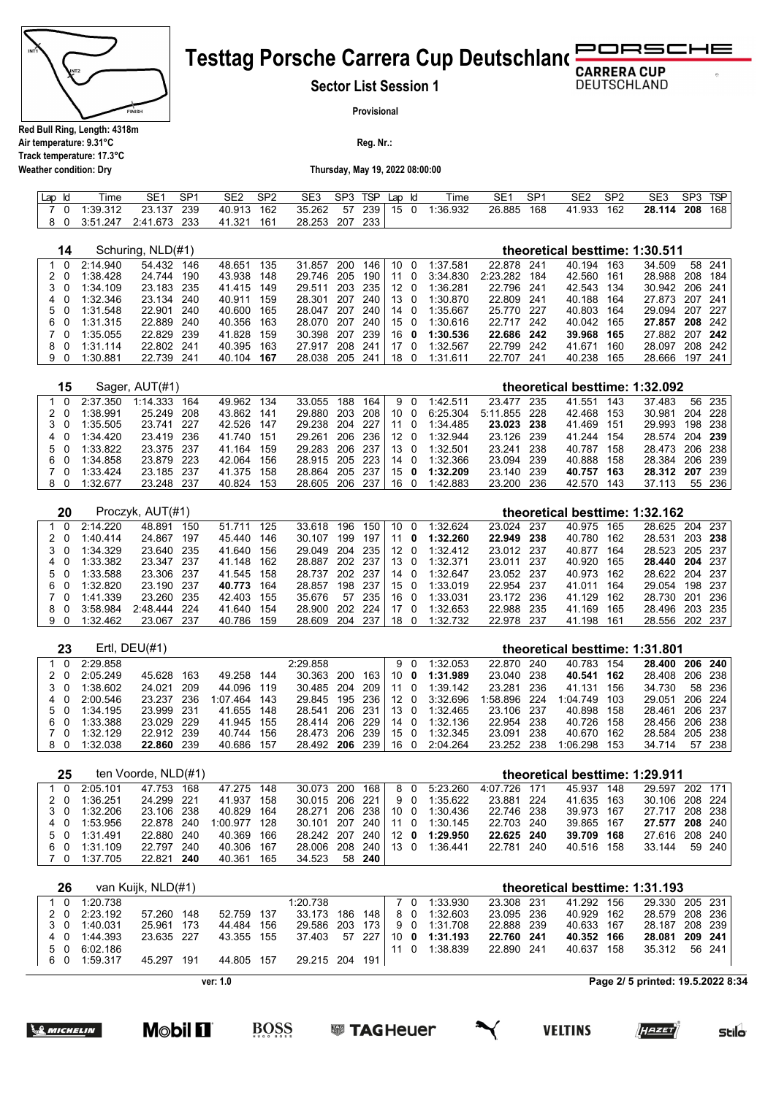

#### **JRSCHE Testtag Porsche Carrera Cup Deutschland** ∍c

**Sector List Session 1**

**DEUTSCHLAND** 

**Provisional**

**Reg. Nr.:** 

**Air temperature: 9.31°C Track temperature: 17.3°C Weather condition: Dry**

#### **Thursday, May 19, 2022 08:00:00**

| Lap | Time     | SE <sub>1</sub> | SP1 | SE2    | SP <sub>2</sub> | SE3    | SP3 | <b>TSP</b> | Lap | Time     | SE1    | SP <sub>1</sub> | SE2    | SP <sub>2</sub> | SE <sub>3</sub> | SP3 | <b>TSP</b> |
|-----|----------|-----------------|-----|--------|-----------------|--------|-----|------------|-----|----------|--------|-----------------|--------|-----------------|-----------------|-----|------------|
|     | :39.312  | 23.137          | 239 | 40.913 | 162             | 35.262 | 57  | 239        | 15  | 1:36.932 | 26.885 | 168             | 41.933 | 162             | 28.114          | 208 | 168        |
|     | 3:51.247 | 2:41.673        | 233 | 41.321 | 161             | 28.253 | 207 | 233        |     |          |        |                 |        |                 |                 |     |            |

| 14       |          | Schuring, NLD(#1) |     |        |     |        |     |     |    |          |          |          |     | theoretical besttime: 1:30.511 |     |        |     |     |
|----------|----------|-------------------|-----|--------|-----|--------|-----|-----|----|----------|----------|----------|-----|--------------------------------|-----|--------|-----|-----|
| 0        | 2:14.940 | 54.432            | 146 | 48.651 | 135 | 31.857 | 200 | 146 | 10 | $\Omega$ | 1:37.581 | 22.878   | 241 | 40.194                         | 163 | 34.509 | 58  | 241 |
| 0        | 1:38.428 | 24.744            | 190 | 43.938 | 148 | 29.746 | 205 | 190 |    | $\Omega$ | 3:34.830 | 2:23.282 | 184 | 42.560                         | 161 | 28.988 | 208 | 184 |
| 3.<br>0  | 1:34.109 | 23.183            | 235 | 41.415 | 149 | 29.511 | 203 | 235 | 12 |          | ∷36.281  | 22.796   | 241 | 42.543                         | 134 | 30.942 | 206 | 241 |
|          | 1:32.346 | 23.134            | 240 | 40.911 | 159 | 28.301 | 207 | 240 | 13 | $\Omega$ | 1:30.870 | 22.809   | 241 | 40.188                         | 164 | 27.873 | 207 | 241 |
| 5.<br>-0 | 1:31.548 | 22.901            | 240 | 40.600 | 165 | 28.047 | 207 | 240 | 14 | 0        | 1:35.667 | 25.770   | 227 | 40.803                         | 164 | 29.094 | 207 | 227 |
| 6.<br>0  | 1:31.315 | 22.889            | 240 | 40.356 | 163 | 28.070 | 207 | 240 | 15 | 0        | 1:30.616 | 22.717   | 242 | 40.042                         | 165 | 27,857 | 208 | 242 |
| - 0      | 1:35.055 | 22.829            | 239 | 41.828 | 159 | 30.398 | 207 | 239 | 16 | 0        | 1:30.536 | 22.686   | 242 | 39.968                         | 165 | 27.882 | 207 | 242 |
| 8<br>0   | 1:31.114 | 22.802            | 241 | 40.395 | 163 | 27.917 | 208 | 241 | 17 | $\Omega$ | 1:32.567 | 22.799   | 242 | 41.671                         | 160 | 28.097 | 208 | 242 |
| 9<br>0   | 1:30.881 | 22.739            | 241 | 40.104 | 167 | 28.038 | 205 | 241 | 18 | 0        | 1:31.611 | 22.707   | 241 | 40.238                         | 165 | 28.666 | 197 | 241 |
|          |          |                   |     |        |     |        |     |     |    |          |          |          |     |                                |     |        |     |     |
| 15       |          | Sager, AUT(#1)    |     |        |     |        |     |     |    |          |          |          |     | theoretical besttime: 1:32.092 |     |        |     |     |
| $\Omega$ | 2:37.350 | 1:14.333          | 164 | 49.962 | 134 | 33.055 | 188 | 164 | 9  | $\Omega$ | 1:42.511 | 23.477   | 235 | 41.551                         | 143 | 37.483 | 56  | 235 |
| -0       | 1:38.991 | 25.249            | 208 | 43.862 | 141 | 29.880 | 203 | 208 | 10 | $\Omega$ | 6:25.304 | 5:11.855 | 228 | 42.468                         | 153 | 30.981 | 204 | 228 |
| 3.<br>0  | 1:35.505 | 23.741            | 227 | 42.526 | 147 | 29.238 | 204 | 227 | 11 | 0        | 1:34.485 | 23.023   | 238 | 41.469                         | 151 | 29.993 | 198 | 238 |
| 4        | 1:34.420 | 23.419            | 236 | 41.740 | 151 | 29.261 | 206 | 236 | 12 | 0        | 1:32.944 | 23.126   | 239 | 41.244                         | 154 | 28.574 | 204 | 239 |
| 5.       | 1:33.822 | 23.375            | 237 | 41.164 | 159 | 29.283 | 206 | 237 | 13 | $\Omega$ | 1:32.501 | 23.241   | 238 | 40.787                         | 158 | 28.473 | 206 | 238 |
| 6.       | 1:34.858 | 23.879            | 223 | 42.064 | 156 | 28.915 | 205 | 223 | 14 |          | 1:32.366 | 23.094   | 239 | 40.888                         | 158 | 28.384 | 206 | 239 |
| -0       | 1:33.424 | 23.185            | 237 | 41.375 | 158 | 28.864 | 205 | 237 | 15 | 0        | 1:32.209 | 23.140   | 239 | 40.757                         | 163 | 28.312 | 207 | 239 |

| 20  |          | Proczyk, AUT(#1) |      |            |       |            |         |                  |              |          |          |            |       |            |     | theoretical besttime: 1:32.162 |         |         |
|-----|----------|------------------|------|------------|-------|------------|---------|------------------|--------------|----------|----------|------------|-------|------------|-----|--------------------------------|---------|---------|
| - 0 | 2:14.220 | 48.891           | 150  | 51.711     | -125  | 33.618     | 196     | 150 <sup>1</sup> | 100          |          | 1:32.624 | 23.024     | -237  | 40.975 165 |     | 28.625                         |         | 204 237 |
| 2 0 | 1:40.414 | 24.867           | 197  | 45.440     | 146   | 30.107     | 199     | 197              |              | $\bf{0}$ | 1:32.260 | 22.949 238 |       | 40.780 162 |     | 28.531                         | 203 238 |         |
| 3 O | 1:34.329 | 23.640 235       |      | 41.640     | 156   | 29.049 204 |         | 235              | 12 0         |          | 1:32.412 | 23.012 237 |       | 40.877 164 |     | 28.523                         |         | 205 237 |
| 4 0 | 1:33.382 | 23.347 237       |      | 41.148 162 |       | 28.887     | 202     | -237             | $13 \quad 0$ |          | 1:32.371 | 23.011 237 |       | 40.920 165 |     | 28.440 204 237                 |         |         |
| 50  | 1:33.588 | 23.306 237       |      | 41.545 158 |       | 28.737     | 202 237 |                  | 14 O         |          | 1:32.647 | 23.052 237 |       | 40.973 162 |     | 28.622 204 237                 |         |         |
| 60  | 1:32.820 | 23.190 237       |      | 40.773     | 164   | 28.857     | 198     | -237             | 150          |          | 1:33.019 | 22.954 237 |       | 41.011 164 |     | 29.054                         |         | 198 237 |
| 7 O | 1:41.339 | 23.260 235       |      | 42.403 155 |       | 35.676     | .57     | 235              | 16 O         |          | 1:33.031 | 23.172 236 |       | 41.129 162 |     | 28.730                         | 201     | - 236   |
| 80  | 3:58.984 | 2:48.444 224     |      | 41.640     | - 154 | 28.900 202 |         | -224             |              | $\Omega$ | 1:32.653 | 22.988     | - 235 | 41.169 165 |     | 28.496                         |         | 203 235 |
| 90  | 1:32.462 | 23.067           | -237 | 40.786     | 159   | 28.609     | 204     | 237              | 18           |          | 1:32.732 | 22.978     | -237  | 41.198     | 161 | 28.556 202 237                 |         |         |

 0 1:33.424 23.185 237 41.375 158 28.864 205 237 15 **0 1:32.209** 23.140 239 **40.757 163 28.312 207** 239 0 1:32.677 23.248 237 40.824 153 28.605 206 237 16 0 1:42.883 23.200 236 42.570 143 37.113 55 236

| 23              |          | Ertl, $DEU(\#1)$ |     |            |       |            |     |     |              |   |          |          |      | theoretical besttime: 1:31.801 |     |                |         |        |
|-----------------|----------|------------------|-----|------------|-------|------------|-----|-----|--------------|---|----------|----------|------|--------------------------------|-----|----------------|---------|--------|
| $1\quad \Omega$ | 2:29.858 |                  |     |            |       | 2:29.858   |     |     | 90           |   | 1:32.053 | 22.870   | 240  | 40.783                         | 154 | 28.400         | 206 240 |        |
| 20              | 2:05.249 | 45.628           | 163 | 49.258     | 144   | 30.363     | 200 | 163 | 10           | 0 | 1:31.989 | 23.040   | 238  | 40.541 162                     |     | 28.408         | 206 238 |        |
| 3 O             | 1:38.602 | 24 021           | 209 | 44.096 119 |       | 30.485 204 |     | 209 | 11 $\Omega$  |   | 1:39.142 | 23.281   | 236  | 41.131                         | 156 | 34.730         |         | 58 236 |
| 4 0             | 2:00.546 | 23.237           | 236 | 1:07.464   | 143   | 29.845 195 |     | 236 | $12 \quad 0$ |   | 3:32.696 | 1:58.896 | 224  | 1:04.749 103                   |     | 29.051         | 206 224 |        |
| 5 0             | 1:34.195 | 23.999 231       |     | 41.655     | 148   | 28.541     | 206 | 231 | $13 \quad 0$ |   | 1:32.465 | 23.106   | -237 | 40.898                         | 158 | 28.461         | 206 237 |        |
| 60              | 1:33.388 | 23.029 229       |     | 41.945     | - 155 | 28.414 206 |     | 229 | 14 0         |   | 1:32.136 | 22.954   | 238  | 40.726 158                     |     | 28.456 206 238 |         |        |
| 7 O             | 1:32.129 | 22.912 239       |     | 40.744     | 156   | 28.473 206 |     | 239 | 150          |   | 1:32.345 | 23.091   | 238  | 40.670                         | 162 | 28.584         | 205 238 |        |
| 80              | 1:32.038 | 22,860 239       |     | 40.686     | 157   | 28.492 206 |     | 239 | 16 0         |   | 2:04.264 | 23.252   | 238  | 1:06.298                       | 153 | 34.714         | 57      | - 238  |

| 25  |          | ten Voorde, NLD(#1) |     |              |     |                     |    |          |    |                              |              |            |     | theoretical besttime: 1:29.911 |        |
|-----|----------|---------------------|-----|--------------|-----|---------------------|----|----------|----|------------------------------|--------------|------------|-----|--------------------------------|--------|
| 1 0 | 2:05.101 | 47.753              | 168 | 47.275 148   |     | 30.073 200          |    | 168      |    | 8 0 5:23.260                 | 4:07.726 171 | 45.937     | 148 | 29.597 202 171                 |        |
| 20  | 1:36.251 | 24.299 221          |     | 41.937 158   |     | 30.015 206 221      |    |          | 90 | 1:35.622                     | 23.881 224   | 41.635 163 |     | 30.106 208 224                 |        |
| 3 O | 1:32.206 | 23.106 238          |     | 40.829 164   |     |                     |    |          |    | 28.271 206 238 10 0 1:30.436 | 22.746 238   | 39.973 167 |     | 27.717 208 238                 |        |
| 40  | 1:53.956 | 22.878 240          |     | 1:00.977 128 |     |                     |    |          |    | 30.101 207 240 11 0 1:30.145 | 22.703 240   | 39.865 167 |     | 27.577 208 240                 |        |
| 50  | 1:31.491 | 22.880 240          |     | 40.369 166   |     | 28.242 207 240 12 0 |    |          |    | 1:29.950                     | 22.625 240   | 39.709 168 |     | 27.616 208 240                 |        |
| 60  | 1:31.109 | 22.797 240          |     | 40.306 167   |     | 28.006 208          |    | 240 13 0 |    | 1:36.441                     | 22.781 240   | 40.516 158 |     | 33.144                         | 59 240 |
| 70  | 1:37.705 | 22.821 240          |     | 40.361       | 165 | 34.523              | 58 | 240      |    |                              |              |            |     |                                |        |

|    | 26  |              | van Kuijk, NLD(#1) |     |            |      |                |         |    |                             |            | theoretical besttime: 1:31.193 |       |                |        |
|----|-----|--------------|--------------------|-----|------------|------|----------------|---------|----|-----------------------------|------------|--------------------------------|-------|----------------|--------|
|    | 1 0 | 1:20.738     |                    |     |            |      | 1:20.738       |         | 70 | 1:33.930                    | 23.308 231 | 41.292 156                     |       | 29.330 205 231 |        |
|    |     | 2 0 2:23.192 | 57.260             | 148 | 52.759     | -137 | 33.173 186     | 148 8 0 |    | 1:32.603                    | 23.095 236 | 40.929 162                     |       | 28.579 208 236 |        |
|    | 30  | 1:40.031     | 25.961 173         |     | 44.484 156 |      | 29.586 203     |         |    | 173 9 0 1:31.708            | 22.888 239 | 40.633 167                     |       | 28.187 208 239 |        |
|    | 40  | 1:44.393     | 23.635 227         |     | 43.355 155 |      |                |         |    | 37.403 57 227 10 0 1:31.193 | 22.760 241 | 40.352 166                     |       | 28.081 209 241 |        |
|    | 50  | 6:02.186     |                    |     |            |      |                |         |    | 1:38.839                    | 22.890 241 | 40.637                         | - 158 | 35.312         | 56 241 |
| 60 |     | 1:59.317     | 45.297 191         |     | 44.805 157 |      | 29.215 204 191 |         |    |                             |            |                                |       |                |        |

**ver: 1.0**

**BOSS** 

**Page 2/ 5 printed: 19.5.2022 8:34**



**M©bil [1]** 







**VELTINS**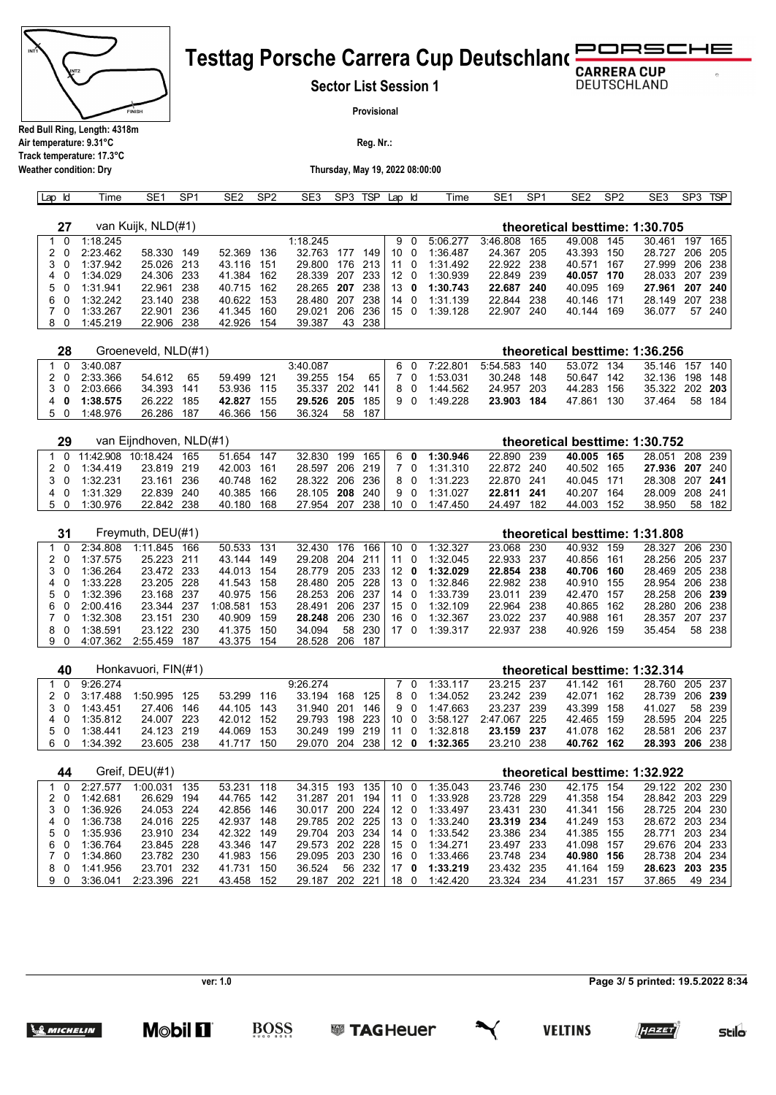| INT <sup>-</sup><br>NT <sub>2</sub><br><b>FINISH</b> |
|------------------------------------------------------|
| Red Bull Ring, Length: 4318m                         |

### RSCHE **Testtag Porsche Carrera Cup Deutschland**

**Sector List Session 1**

**DEUTSCHLAND** 

 $\sigma$ 

**Provisional**

**Reg. Nr.:** 

**Air temperature: 9.31°C Track temperature: 17.3°C**

**Weather condition: Dry**

**Thursday, May 19, 2022 08:00:00**

| Lap Id           | Time     | SE <sub>1</sub>     | SP <sub>1</sub> | SE <sub>2</sub> | SP <sub>2</sub> | SE3      | SP3 | <b>TSP</b> | Lap Id          |          | Time     | SE <sub>1</sub> | SP <sub>1</sub> | SE <sub>2</sub>                | SP <sub>2</sub>    | SE <sub>3</sub> | SP3     | <b>TSP</b>      |
|------------------|----------|---------------------|-----------------|-----------------|-----------------|----------|-----|------------|-----------------|----------|----------|-----------------|-----------------|--------------------------------|--------------------|-----------------|---------|-----------------|
|                  |          |                     |                 |                 |                 |          |     |            |                 |          |          |                 |                 |                                |                    |                 |         |                 |
| 27               |          | van Kuijk, NLD(#1)  |                 |                 |                 |          |     |            |                 |          |          |                 |                 | theoretical besttime: 1:30.705 |                    |                 |         |                 |
|                  | 1:18.245 |                     |                 |                 |                 | 1:18.245 |     |            | 9               | $\Omega$ | 5:06.277 | 3:46.808        | 165             | 49.008                         | 145                | 30.461          | 197     | 165             |
|                  | 2:23.462 | 58.330              | 149             | 52.369          | 136             | 32.763   | 177 | 149        | 10 0            |          | 1:36.487 | 24.367          | 205             | 43.393                         | 150                | 28.727          | 206     | 205             |
| 3<br>- 0         | 1:37.942 | 25.026              | -213            | 43.116          | 151             | 29.800   | 176 | 213        | 11              | - 0      | 1:31.492 | 22.922          | 238             | 40.571                         | 167                | 27.999          | 206     | 238             |
| 4                | 1:34.029 | 24.306              | 233             | 41.384          | 162             | 28.339   | 207 | 233        | $12 \quad 0$    |          | 1:30.939 | 22.849          | 239             | 40.057                         | 170                | 28.033          | 207     | 239             |
| 5.<br>$\Omega$   | 1:31.941 | 22.961              | 238             | 40.715          | 162             | 28.265   | 207 | 238        | 13              | 0        | 1:30.743 | 22.687          | 240             | 40.095                         | 169                | 27.961          | 207     | 240             |
| 6.               | 1:32.242 | 23.140              | 238             | 40.622          | 153             | 28.480   | 207 | 238        | 14              | - 0      | 1:31.139 | 22.844          | 238             | 40.146                         | 171                | 28.149          | 207     | 238             |
|                  | 1:33.267 | 22.901              | 236             | 41.345          | 160             | 29.021   | 206 | 236        | 15 <sub>0</sub> |          | 1:39.128 | 22.907          | 240             | 40.144                         | 169                | 36.077          | 57      | 240             |
| 8<br>- 0         | 1:45.219 | 22.906              | 238             | 42.926          | 154             | 39.387   | 43  | 238        |                 |          |          |                 |                 |                                |                    |                 |         |                 |
|                  |          |                     |                 |                 |                 |          |     |            |                 |          |          |                 |                 |                                |                    |                 |         |                 |
| 28               |          | Groeneveld, NLD(#1) |                 |                 |                 |          |     |            |                 |          |          |                 |                 | theoretical besttime: 1:36.256 |                    |                 |         |                 |
| $\lambda$ $\sim$ | 0.10.02  |                     |                 |                 |                 | 0.40.007 |     |            | $\sim$          | $\sim$   | 7.00.004 | F.F.A.F00       | $\overline{A}$  | <b>FO 070</b>                  | $\Lambda$ $\Omega$ | 25.440          | $1 - 7$ | $\overline{AB}$ |

|    |                    | $G[OE]$ ievelu, $NLU(H)$ |     |            |       |                   |     |     |  |                             |              | theoretical desttime: 1:36.256 |     |                  |        |
|----|--------------------|--------------------------|-----|------------|-------|-------------------|-----|-----|--|-----------------------------|--------------|--------------------------------|-----|------------------|--------|
|    | $1 \t0 \t3.40.087$ |                          |     |            |       | 3:40.087          |     |     |  | 6 0 7:22.801                | 5:54.583 140 | 53.072 134                     |     | 35.146 157 140 L |        |
|    | 2 0 2:33.366       | 54.612                   | 65  | 59.499 121 |       | 39.255 154 65 7 0 |     |     |  | 1:53.031                    | 30.248 148   | 50.647 142                     |     | 32.136 198 148 l |        |
|    | 3 0 2:03.666       | 34.393 141               |     | 53.936 115 |       |                   |     |     |  | 35.337 202 141 8 0 1:44.562 | 24.957 203   | 44.283 156                     |     | 35.322 202 203   |        |
|    | 4 0 1:38.575       | 26.222                   | 185 | 42.827     | - 155 |                   |     |     |  | 29.526 205 185 9 0 1:49.228 | 23.903 184   | 47.861                         | 130 | 37.464           | 58 184 |
| 50 | 1:48.976           | 26.286                   | 187 | 46.366 156 |       | 36.324            | -58 | 187 |  |                             |              |                                |     |                  |        |

|    | 29 |          | van Eijndhoven, NLD(#1)     |            |                     |  |  |                             |            |     | theoretical besttime: 1:30.752 |                |    |       |
|----|----|----------|-----------------------------|------------|---------------------|--|--|-----------------------------|------------|-----|--------------------------------|----------------|----|-------|
|    |    |          | 1 0 11:42.908 10:18.424 165 | 51.654 147 |                     |  |  | 32.830 199 165 6 0 1:30.946 | 22.890 239 |     | 40.005 165                     | 28.051 208 239 |    |       |
| 20 |    | 1:34.419 | 23.819 219                  | 42.003 161 | 28.597 206 219 7 0  |  |  | 1:31.310                    | 22.872 240 |     | 40.502 165                     | 27.936 207 240 |    |       |
| 30 |    | 1:32231  | 23.161 236                  | 40.748 162 | 28.322 206 236 8 0  |  |  | 1:31.223                    | 22.870 241 |     | 40.045 171                     | 28.308 207 241 |    |       |
| 40 |    | 1:31.329 | 22.839 240                  | 40.385 166 | 28.105 208 240 9 0  |  |  | 1:31.027                    | 22.811 241 |     | 40.207 164                     | 28,009 208 241 |    |       |
| 50 |    | 1:30.976 | 22.842 238                  | 40.180 168 | 27.954 207 238 10 0 |  |  | 1:47.450                    | 24.497     | 182 | 44.003 152                     | 38.950         | 58 | 182 l |

| 31  |          | Freymuth, $DEU(\#1)$ |     |            |       |                     |    |          |      |          |            |       |            | theoretical besttime: 1:31.808 |         |         |
|-----|----------|----------------------|-----|------------|-------|---------------------|----|----------|------|----------|------------|-------|------------|--------------------------------|---------|---------|
|     | 2:34.808 | 1:11.845             | 166 | 50.533 131 |       | 32.430 176          |    | 166 10 0 |      | 1:32.327 | 23.068     | 230   | 40.932 159 | 28.327                         |         | 206 230 |
| 20  | 1:37.575 | 25.223 211           |     | 43.144     | 149   | 29.208 204 211 11 0 |    |          |      | 1:32.045 | 22.933 237 |       | 40.856 161 | 28.256 205 237                 |         |         |
| 3 0 | 1:36.264 | 23.472 233           |     | 44.013 154 |       | 28.779 205 233 12 0 |    |          |      | 1:32.029 | 22.854 238 |       | 40.706 160 | 28.469 205 238                 |         |         |
| 40  | 1:33.228 | 23.205 228           |     | 41.543 158 |       | 28.480 205 228 13 0 |    |          |      | 1:32.846 | 22.982 238 |       | 40.910 155 | 28.954 206 238                 |         |         |
| 50  | 1:32.396 | 23.168 237           |     | 40.975 156 |       | 28.253 206 237      |    |          | 14 0 | 1:33.739 | 23.011     | - 239 | 42.470 157 | 28.258 206 239                 |         |         |
| 60  | 2:00.416 | 23.344 237           |     | 1:08.581   | 153   | 28.491 206 237 15 0 |    |          |      | 1:32.109 | 22.964     | 238   | 40.865 162 | 28.280                         | 206 238 |         |
| 70  | 1:32.308 | 23.151 230           |     | 40.909     | 159   | 28.248 206 230 16 0 |    |          |      | 1:32.367 | 23.022 237 |       | 40.988 161 | 28.357                         |         | 207 237 |
| 80  | 1:38.591 | 23.122 230           |     | 41.375     | - 150 | 34.094              | 58 | 230 17 0 |      | 1:39.317 | 22.937     | -238  | 40.926 159 | 35.454                         |         | 58 238  |
| 90  | 4:07.362 | 2:55.459             | 187 | 43.375     | - 154 | 28.528 206          |    | 187      |      |          |            |       |            |                                |         |         |

| 40  |          | Honkavuori, FIN(#1) |            |            |     |                     |     |          |     |          |              |     |            |       | theoretical besttime: 1:32.314 |        |
|-----|----------|---------------------|------------|------------|-----|---------------------|-----|----------|-----|----------|--------------|-----|------------|-------|--------------------------------|--------|
| - 0 | 9.26274  |                     |            |            |     | 9.26274             |     |          | 70  | 1:33.117 | 23.215 237   |     | 41.142 161 |       | 28.760 205 237                 |        |
| 20  | 3:17.488 | 1:50.995            | 125        | 53.299 116 |     | 33.194              | 168 | 125      | 80  | 1:34.052 | 23.242 239   |     | 42.071     | - 162 | 28.739 206 <b>239</b>          |        |
| 30  | 1:43.451 | 27 406              | 146        | 44.105 143 |     | 31.940 201          |     | 146      | 90  | 1:47.663 | 23.237       | 239 | 43.399 158 |       | 41.027                         | 58 239 |
| 40  | 1:35.812 |                     | 24.007 223 | 42.012 152 |     | 29.793 198 223 10 0 |     |          |     | 3:58.127 | 2:47.067 225 |     | 42.465 159 |       | 28.595 204 225                 |        |
| 50  | 1:38.441 |                     | 24.123 219 | 44.069 153 |     | 30.249              | 199 | 219   11 | - 0 | 1:32.818 | 23.159 237   |     | 41.078 162 |       | 28.581 206 237                 |        |
| 60  | 1:34.392 |                     | 23.605 238 | 41.717     | 150 | 29.070 204          |     | 238 12 0 |     | 1:32.365 | 23.210 238   |     | 40.762 162 |       | 28.393 206 238                 |        |

|     | 44 |          | Greif, DEU(#1) |      |            |     |                     |     |       |      |          |          |            |      | theoretical besttime: 1:32.922 |     |                  |         |
|-----|----|----------|----------------|------|------------|-----|---------------------|-----|-------|------|----------|----------|------------|------|--------------------------------|-----|------------------|---------|
|     | 10 | 2:27.577 | 1:00.031       | 135  | 53.231     | 118 | 34.315 193          |     | 135   | 10 0 |          | 1:35.043 | 23.746     | 230  | 42.175 154                     |     | 29.122 202 230   |         |
| 2 0 |    | 1:42.681 | 26.629         | 194  | 44.765     | 142 | 31.287              | 201 | 194   | 11   | $\Omega$ | 1:33.928 | 23.728 229 |      | 41.358 154                     |     | 28.842 203 229   |         |
| 30  |    | 1:36.926 | 24.053 224     |      | 42.856 146 |     | 30.017              | 200 | - 224 | 12 0 |          | 1:33.497 | 23.431     | 230  | 41.341 156                     |     | 28.725 204 230 J |         |
| 4 0 |    | 1:36.738 | 24.016 225     |      | 42.937     | 148 | 29.785 202 225 13 0 |     |       |      |          | 1:33.240 | 23.319 234 |      | 41.249 153                     |     | 28.672 203 234   |         |
| 50  |    | 1:35.936 | 23.910 234     |      | 42.322 149 |     | 29.704 203          |     | - 234 | 14 0 |          | 1:33.542 | 23.386 234 |      | 41.385 155                     |     | 28.771           | 203 234 |
| 60  |    | 1:36.764 | 23.845 228     |      | 43.346 147 |     | 29.573 202 228 15 0 |     |       |      |          | 1:34.271 | 23.497     | -233 | 41.098 157                     |     | 29.676 204 233   |         |
| 70  |    | 1:34.860 | 23.782 230     |      | 41.983 156 |     | 29.095 203          |     | - 230 | 160  |          | 1:33.466 | 23.748 234 |      | 40.980 156                     |     | 28.738 204 234   |         |
| 8 O |    | 1:41.956 | 23.701         | -232 | 41.731     | 150 | 36.524              | 56  | -232  | 17   | 0        | 1:33.219 | 23.432 235 |      | 41.164                         | 159 | 28.623           | 203 235 |
| 90  |    | 3:36.041 | 2:23.396 221   |      | 43.458 152 |     | 29.187              | 202 | -221  | 18   |          | 1:42.420 | 23.324 234 |      | 41.231                         | 157 | 37.865           | 49 234  |

**ver: 1.0**

**BOSS** 

**Page 3/ 5 printed: 19.5.2022 8:34**





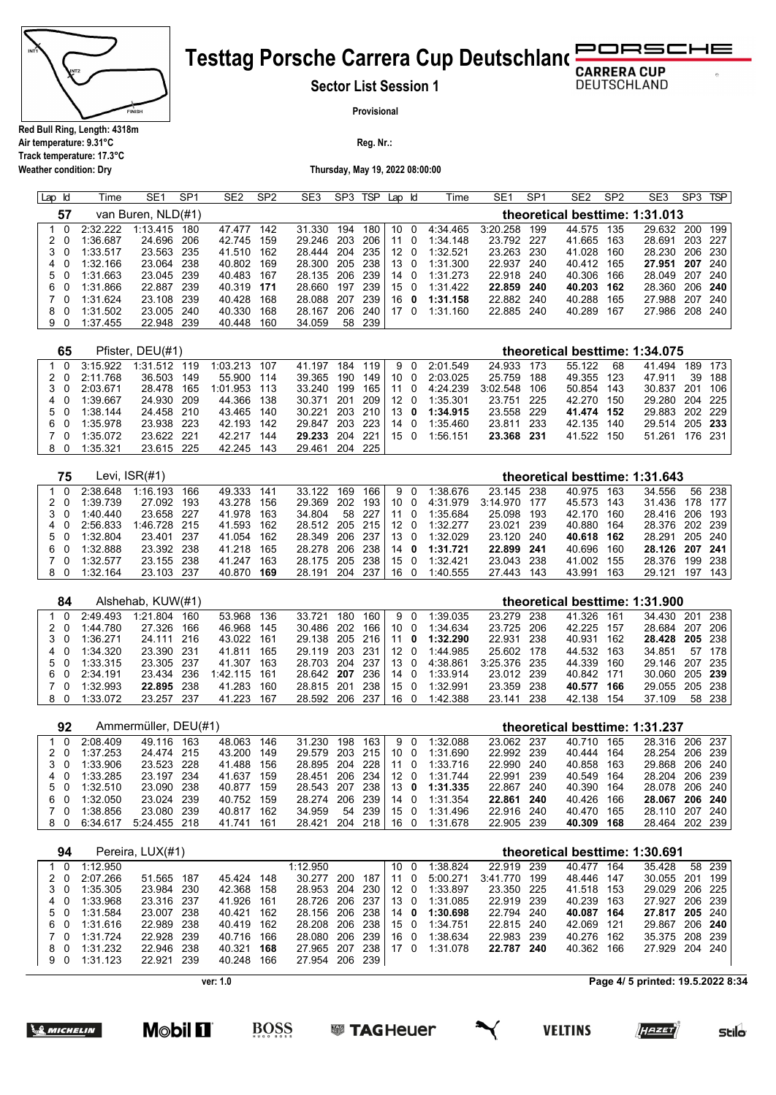

**Air temperature: 9.31°C Track temperature: 17.3°C**

**Weather condition: Dry**

### RSCHE **Testtag Porsche Carrera Cup Deutschland**

**Sector List Session 1**

**DEUTSCHLAND** 

**Provisional**

**Reg. Nr.:** 

**Thursday, May 19, 2022 08:00:00**

| Lap Id |    | Time     | SE <sub>1</sub>    | SP <sub>1</sub> | SE <sub>2</sub> | SP <sub>2</sub> | SE <sub>3</sub> | SP3 | <b>TSP</b> | Lap  | ld       | Time     | SE <sub>1</sub> | SP <sub>1</sub> | SE <sub>2</sub> | SP <sub>2</sub> | SE3                            | SP <sub>3</sub> | <b>TSP</b> |
|--------|----|----------|--------------------|-----------------|-----------------|-----------------|-----------------|-----|------------|------|----------|----------|-----------------|-----------------|-----------------|-----------------|--------------------------------|-----------------|------------|
|        | 57 |          | van Buren, NLD(#1) |                 |                 |                 |                 |     |            |      |          |          |                 |                 |                 |                 | theoretical besttime: 1:31.013 |                 |            |
|        |    | 2:32.222 | 1:13.415           | 180             | 47.477          | 142             | 31.330          | 194 | 180        | 10   | - 0      | 4:34.465 | 3:20.258        | 199             | 44.575 135      |                 | 29.632                         |                 | 200 199    |
|        |    | 1:36.687 | 24.696             | 206             | 42.745          | 159             | 29.246          | 203 | 206        | -11  | 0        | 1:34.148 | 23.792 227      |                 | 41.665 163      |                 | 28.691                         | 203 227         |            |
| 3 O    |    | 1:33.517 | 23.563             | -235            | 41.510          | 162             | 28.444 204      |     | 235        | 12 0 |          | 1:32.521 | 23.263          | -230            | 41.028 160      |                 | 28.230                         | 206 230         |            |
| 40     |    | 1:32.166 | 23.064             | 238             | 40.802          | 169             | 28.300          | 205 | -238       | 13 0 |          | 1:31.300 | 22.937          | 240             | 40.412 165      |                 | 27.951                         | 207 240         |            |
| 50     |    | 1:31.663 | 23.045             | 239             | 40.483          | 167             | 28.135          | 206 | 239        | 14 0 |          | 1:31.273 | 22.918          | -240            | 40.306          | 166             | 28.049                         | 207             | 240        |
| 60     |    | 1:31.866 | 22.887             | 239             | 40.319 171      |                 | 28.660          | 197 | 239        | 15 0 |          | 1:31.422 | 22.859          | 240             | 40.203 162      |                 | 28.360                         |                 | 206 240    |
| 70     |    | 1:31.624 | 23.108             | 239             | 40.428          | 168             | 28.088          | 207 | 239        | 16   | 0        | 1:31.158 | 22.882          | 240             | 40.288          | 165             | 27.988                         | 207             | -240       |
| 80     |    | 1:31.502 | 23.005             | 240             | 40.330          | 168             | 28.167          | 206 | 240        | 17   | $\Omega$ | 1:31.160 | 22.885          | 240             | 40.289          | 167             | 27.986                         | 208 240         |            |
| 9      |    | 1:37.455 | 22.948             | 239             | 40.448          | 160             | 34.059          | 58  | 239        |      |          |          |                 |                 |                 |                 |                                |                 |            |

| 65  |          | Pfister, DEU(#1) |     |              |      |            |       |       |      |          |          |            |      | theoretical besttime: 1:34.075 |     |                |         |         |
|-----|----------|------------------|-----|--------------|------|------------|-------|-------|------|----------|----------|------------|------|--------------------------------|-----|----------------|---------|---------|
| 1 0 | 3.15922  | 1:31.512         | 119 | 1:03.213     | 107  | 41.197     | 184   | 119   |      | 90       | 2:01.549 | 24.933     | 173  | 55.122                         | 68  | 41.494         |         | 189 173 |
| 20  | 2:11.768 | 36.503           | 149 | 55.900 114   |      | 39.365     | 190   | 149   | 10 0 |          | 2:03.025 | 25.759     | 188  | 49.355 123                     |     | 47.911         |         | 39 188  |
| 3 O | 2:03.671 | 28.478           | 165 | 1:01.953 113 |      | 33.240     | 199   | 165 I | -11  | - 0      | 4:24.239 | 3:02.548   | 106  | 50.854 143                     |     | 30.837         | 201 106 |         |
| 4 0 | 1:39.667 | 24.930 209       |     | 44.366 138   |      | 30.371     | -201  | 209   | 12 0 |          | 1:35.301 | 23.751     | -225 | 42.270 150                     |     | 29.280 204 225 |         |         |
| 50  | 1:38.144 | 24.458 210       |     | 43.465 140   |      | 30.221     | - 203 | 210   | 13 0 |          | 1:34.915 | 23.558 229 |      | 41.474 152                     |     | 29.883 202 229 |         |         |
| 60  | 1:35.978 | 23.938 223       |     | 42.193 142   |      | 29.847     | 203   | 223   | -14  | $\Omega$ | 1:35.460 | 23.811     | -233 | 42.135                         | 140 | 29.514 205 233 |         |         |
| 7 O | 1:35.072 | 23.622 221       |     | 42 217       | -144 | 29.233 204 |       | 221   | 150  |          | 1:56.151 | 23.368 231 |      | 41.522                         | 150 | 51.261         |         | 176 231 |
| 80  | 1:35.321 | 23.615 225       |     | 42.245       | 143  | 29.461     | 204   | 225   |      |          |          |            |      |                                |     |                |         |         |

| 75  |          | Levi. ISR(#1) |     |            |      |                     |     |        |      |          |          |              |       | theoretical besttime: 1:31.643 |       |                |         |        |
|-----|----------|---------------|-----|------------|------|---------------------|-----|--------|------|----------|----------|--------------|-------|--------------------------------|-------|----------------|---------|--------|
|     | 2.38648  | 1:16.193      | 166 | 49.333     | 141  | 33.122              | 169 | 166    |      | 90       | 1:38.676 | 23.145 238   |       | 40.975                         | 163   | 34.556         |         | 56 238 |
| 2 O | 1:39.739 | 27.092 193    |     | 43.278     | 156  | 29.369              | 202 | 193    | 10 0 |          | 4:31.979 | 3:14.970 177 |       | 45.573                         | 143   | 31.436         | 178 177 |        |
| 3 O | 1:40.440 | 23.658 227    |     | 41.978 163 |      | 34.804              |     | 58 227 | 11   | $\Omega$ | 1:35.684 | 25.098       | 193   | 42.170                         | 160   | 28.416 206 193 |         |        |
| 40  | 2:56.833 | 1:46.728 215  |     | 41.593 162 |      | 28.512 205 215 12 0 |     |        |      |          | 1:32.277 | 23.021       | -239  | 40.880                         | - 164 | 28.376 202 239 |         |        |
| 50  | 1:32.804 | 23.401 237    |     | 41.054 162 |      | 28.349 206 237      |     |        | 13 0 |          | 1:32.029 | 23.120 240   |       | 40.618 162                     |       | 28.291 205 240 |         |        |
| 60  | 1:32.888 | 23.392 238    |     | 41.218     | -165 | 28.278 206 238      |     |        | 14 O |          | 1:31.721 | 22.899 241   |       | 40.696                         | 160   | 28.126 207 241 |         |        |
| 70  | 1:32.577 | 23.155 238    |     | 41.247     | 163  | 28.175 205          |     | -238   | 15 0 |          | 1:32.421 | 23.043       | - 238 | 41.002                         | 155   | 28.376         | 199 238 |        |
| 80  | 1:32.164 | 23.103 237    |     | 40.870     | 169  | 28.191              | 204 | 237    | 16   | - 0      | 1:40.555 | 27.443       | 143   | 43.991                         | 163   | 29.121         | 197     | 143    |

| 84 |          | Alshehab, KUW(#1) |     |          |       |            |       |     |     |          |          |              |      | theoretical besttime: 1:31.900 |       |                |     |        |
|----|----------|-------------------|-----|----------|-------|------------|-------|-----|-----|----------|----------|--------------|------|--------------------------------|-------|----------------|-----|--------|
|    | 2:49.493 | 1:21.804          | 160 | 53.968   | 136   | 33.721     | 180   | 160 | 9 O |          | 1:39.035 | 23 279       | 238  | 41.326                         | 161   | 34.430 201     |     | - 238  |
|    | 1:44.780 | 27.326            | 166 | 46.968   | 145   | 30.486     | 202   | 166 | 10  | - 0      | 1:34.634 | 23.725       | 206  | 42.225                         | - 157 | 28.684         | 207 | -206   |
| 30 | 1:36.271 | 24.111 216        |     | 43.022   | 161   | 29.138     | -205  | 216 | 11  | 0        | 1:32.290 | 22.931       | 238  | 40.931                         | 162   | 28.428 205 238 |     |        |
| 40 | 1:34.320 | 23.390 231        |     | 41.811   | 165   | 29.119     | - 203 | 231 | 12  | $\Omega$ | 1:44.985 | 25.602       | 178  | 44.532                         | 163   | 34.851         | 57  | - 178  |
| 50 | 1:33.315 | 23.305 237        |     | 41.307   | 163   | 28.703 204 |       | 237 | 13  |          | 4:38.861 | 3:25.376 235 |      | 44.339                         | 160   | 29.146 207 235 |     |        |
| 60 | 2:34.191 | 23.434 236        |     | 1:42.115 | - 161 | 28.642 207 |       | 236 | 14  | - 0      | 1:33.914 | 23.012       | -239 | 40.842 171                     |       | 30.060 205 239 |     |        |
| 70 | 1:32.993 | 22.895 238        |     | 41.283   | 160   | 28.815 201 |       | 238 | 15  |          | 1:32.991 | 23.359       | -238 | 40.577                         | 166   | 29.055 205 238 |     |        |
| 80 | 1:33.072 | 23.257 237        |     | 41.223   | 167   | 28.592 206 |       | 237 | 16  |          | 1:42.388 | 23.141       | 238  | 42.138                         | 154   | 37.109         |     | 58 238 |

|     | 92 |          | Ammermüller, DEU(#1) |     |            |       |            |     |               |    |                              |            |      |            |     | theoretical besttime: 1:31.237 |         |         |
|-----|----|----------|----------------------|-----|------------|-------|------------|-----|---------------|----|------------------------------|------------|------|------------|-----|--------------------------------|---------|---------|
|     |    | 2:08.409 | 49.116               | 163 | 48.063     | 146   | 31.230     | 198 | 163           | 90 | 1:32.088                     | 23.062 237 |      | 40.710     | 165 | 28.316                         | 206 237 |         |
| 20  |    | 1:37.253 | 24.474 215           |     | 43.200     | 149   | 29.579 203 |     |               |    | 215 10 0 1:31.690            | 22.992 239 |      | 40.444 164 |     | 28 254                         |         | 206 239 |
| 3 O |    | 1:33.906 | 23.523 228           |     | 41.488 156 |       |            |     |               |    | 28.895 204 228 11 0 1:33.716 | 22.990 240 |      | 40.858 163 |     | 29.868 206 240                 |         |         |
| 40  |    | 1:33.285 | 23.197 234           |     | 41.637     | - 159 |            |     |               |    | 28.451 206 234 12 0 1:31.744 | 22.991 239 |      | 40.549 164 |     | 28.204 206 239                 |         |         |
| 50  |    | 1:32.510 | 23.090 238           |     | 40.877 159 |       | 28.543 207 |     |               |    | 238 13 0 1:31.335            | 22.867     | -240 | 40.390 164 |     | 28.078 206 240                 |         |         |
| 60  |    | 1:32.050 | 23.024 239           |     | 40.752 159 |       | 28.274 206 |     | $\degree$ 239 |    | 14 0 1:31.354                | 22.861 240 |      | 40.426 166 |     | 28.067 206 240                 |         |         |
| 7 O |    | 1:38.856 | 23.080 239           |     | 40.817 162 |       | 34.959     | 54  | 239           |    | 1501:31.496                  | 22.916 240 |      | 40.470 165 |     | 28.110 207 240                 |         |         |
| 80  |    | 6:34.617 | 5:24.455 218         |     | 41.741     | - 161 | 28.421 204 |     |               |    | 218 16 0 1:31.678            | 22.905 239 |      | 40.309 168 |     | 28.464                         | 202 239 |         |

| 94       |          | Pereira, LUX(#1) |                |     |                |     |          |      |     |          |              |      |            |     | theoretical besttime: 1:30.691 |        |
|----------|----------|------------------|----------------|-----|----------------|-----|----------|------|-----|----------|--------------|------|------------|-----|--------------------------------|--------|
| $\Omega$ | 1:12.950 |                  |                |     | 1:12.950       |     |          | 10 O |     | 1:38.824 | 22.919       | 239  | 40.477     | 164 | 35.428                         | 58 239 |
| 20       | 2:07.266 | 51.565           | 187<br>45.424  | 148 | 30.277         | 200 | 187      | 11   | - 0 | 5:00.271 | 3:41.770 199 |      | 48.446 147 |     | 30.055 201                     | 199    |
| 30       | 1:35.305 | 23.984 230       | 42.368 158     |     | 28.953 204     |     | 230 12 0 |      |     | 1:33.897 | 23.350 225   |      | 41.518 153 |     | 29.029 206 225                 |        |
| 4 0      | 1:33.968 | 23.316 237       | 41.926 161     |     | 28.726 206 237 |     |          | 13 0 |     | 1:31.085 | 22.919 239   |      | 40.239 163 |     | 27.927 206 239                 |        |
| 50       | 1:31.584 | 23.007 238       | 40.421         | 162 | 28.156 206 238 |     |          | 14 0 |     | 1:30.698 | 22.794       | -240 | 40.087 164 |     | 27.817 205 240                 |        |
| 60       | 1:31.616 | 22.989 238       | 40.419 162     |     | 28.208 206 238 |     |          | 150  |     | 1:34.751 | 22.815 240   |      | 42.069 121 |     | 29.867 206 240                 |        |
| 7 O      | 1:31.724 | 22.928 239       | 40.716 166     |     | 28.080 206     |     | 239 I    | 16 0 |     | 1:38.634 | 22.983       | 239  | 40.276 162 |     | 35.375 208 239                 |        |
| 80       | 1:31.232 | 22.946 238       | 40.321         | 168 | 27.965 207     |     | 238      | 17 0 |     | 1:31.078 | 22.787       | 240  | 40.362 166 |     | 27.929 204 240                 |        |
| 90       | 1:31.123 | 22.921           | 40.248<br>-239 | 166 | 27.954 206     |     | 239      |      |     |          |              |      |            |     |                                |        |

**ver: 1.0**

**BOSS** 

**Page 4/ 5 printed: 19.5.2022 8:34**